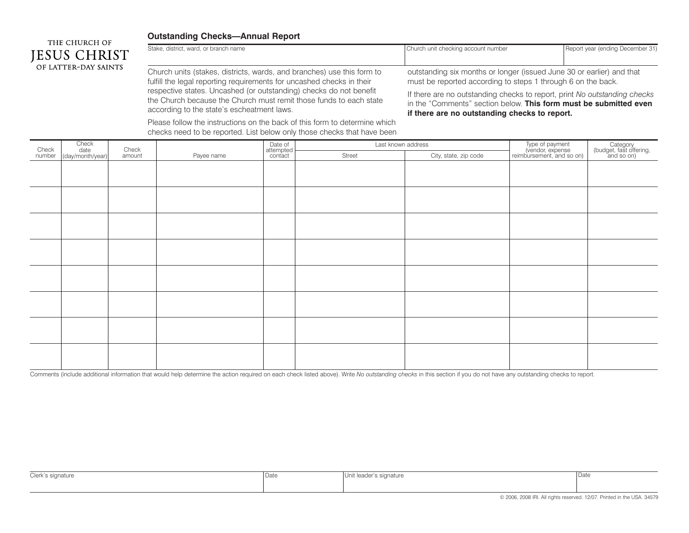## **Outstanding Checks—Annual Report**

according to the state's escheatment laws.



Stake, district, ward, or branch name Church unit checking account number Report year (ending December 31) Church units (stakes, districts, wards, and branches) use this form to fulfill the legal reporting requirements for uncashed checks in their respective states. Uncashed (or outstanding) checks do not benefit the Church because the Church must remit those funds to each state outstanding six months or longer (issued June 30 or earlier) and that must be reported according to steps 1 through 6 on the back. If there are no outstanding checks to report, print *No outstanding checks*

in the "Comments" section below. **This form must be submitted even if there are no outstanding checks to report.**

Please follow the instructions on the back of this form to determine which checks need to be reported. List below only those checks that have been

|                 | Check<br>date<br>(day/month/year) | Check  |            | Date of<br>attempted<br>contact | Last known address |                       | Type of payment<br>(vendor, expense<br>reimbursement, and so on) | Category<br>(budget, fast offering,<br>and so on) |
|-----------------|-----------------------------------|--------|------------|---------------------------------|--------------------|-----------------------|------------------------------------------------------------------|---------------------------------------------------|
| Check<br>number |                                   | amount | Payee name |                                 | Street             | City, state, zip code |                                                                  |                                                   |
|                 |                                   |        |            |                                 |                    |                       |                                                                  |                                                   |
|                 |                                   |        |            |                                 |                    |                       |                                                                  |                                                   |
|                 |                                   |        |            |                                 |                    |                       |                                                                  |                                                   |
|                 |                                   |        |            |                                 |                    |                       |                                                                  |                                                   |
|                 |                                   |        |            |                                 |                    |                       |                                                                  |                                                   |
|                 |                                   |        |            |                                 |                    |                       |                                                                  |                                                   |
|                 |                                   |        |            |                                 |                    |                       |                                                                  |                                                   |
|                 |                                   |        |            |                                 |                    |                       |                                                                  |                                                   |
|                 |                                   |        |            |                                 |                    |                       |                                                                  |                                                   |
|                 |                                   |        |            |                                 |                    |                       |                                                                  |                                                   |
|                 |                                   |        |            |                                 |                    |                       |                                                                  |                                                   |
|                 |                                   |        |            |                                 |                    |                       |                                                                  |                                                   |
|                 |                                   |        |            |                                 |                    |                       |                                                                  |                                                   |
|                 |                                   |        |            |                                 |                    |                       |                                                                  |                                                   |
|                 |                                   |        |            |                                 |                    |                       |                                                                  |                                                   |
|                 |                                   |        |            |                                 |                    |                       |                                                                  |                                                   |

Comments (include additional information that would help determine the action required on each check listed above). Write *No outstanding checks* in this section if you do not have any outstanding checks to report.

| Clerk's signature | Date | Unit leader's signature | Date |
|-------------------|------|-------------------------|------|
|                   |      |                         |      |